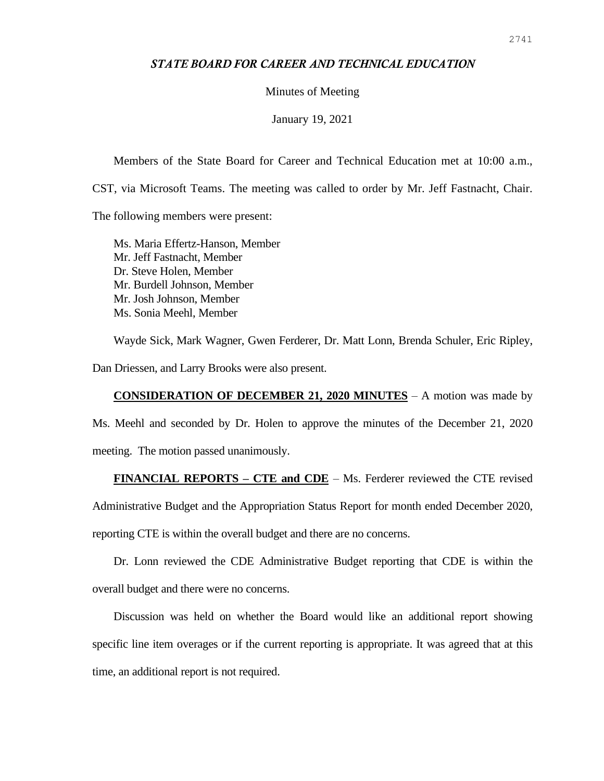## *STATE BOARD FOR CAREER AND TECHNICAL EDUCATION*

## Minutes of Meeting

January 19, 2021

Members of the State Board for Career and Technical Education met at 10:00 a.m., CST, via Microsoft Teams. The meeting was called to order by Mr. Jeff Fastnacht, Chair. The following members were present:

Ms. Maria Effertz-Hanson, Member Mr. Jeff Fastnacht, Member Dr. Steve Holen, Member Mr. Burdell Johnson, Member Mr. Josh Johnson, Member Ms. Sonia Meehl, Member

Wayde Sick, Mark Wagner, Gwen Ferderer, Dr. Matt Lonn, Brenda Schuler, Eric Ripley,

Dan Driessen, and Larry Brooks were also present.

## **CONSIDERATION OF DECEMBER 21, 2020 MINUTES** – A motion was made by

Ms. Meehl and seconded by Dr. Holen to approve the minutes of the December 21, 2020 meeting. The motion passed unanimously.

**FINANCIAL REPORTS – CTE and CDE** – Ms. Ferderer reviewed the CTE revised

Administrative Budget and the Appropriation Status Report for month ended December 2020,

reporting CTE is within the overall budget and there are no concerns.

Dr. Lonn reviewed the CDE Administrative Budget reporting that CDE is within the overall budget and there were no concerns.

Discussion was held on whether the Board would like an additional report showing specific line item overages or if the current reporting is appropriate. It was agreed that at this time, an additional report is not required.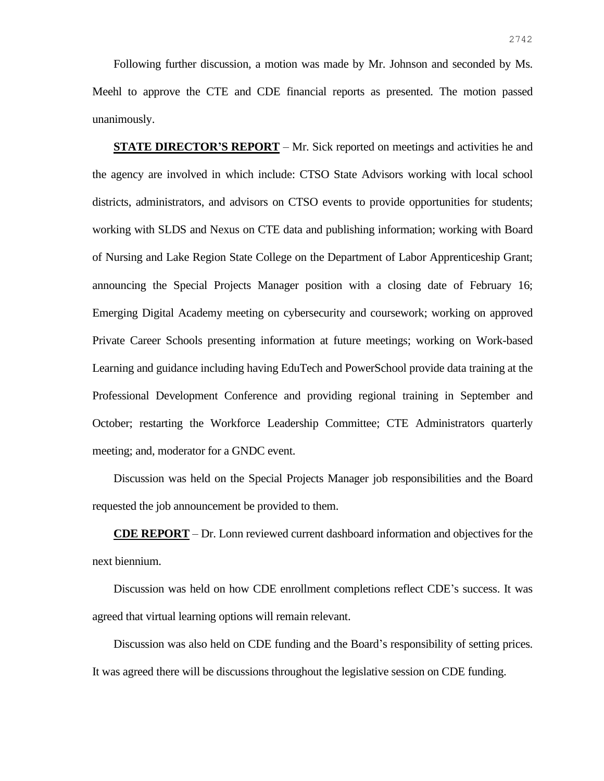Following further discussion, a motion was made by Mr. Johnson and seconded by Ms. Meehl to approve the CTE and CDE financial reports as presented. The motion passed unanimously.

**STATE DIRECTOR'S REPORT** – Mr. Sick reported on meetings and activities he and the agency are involved in which include: CTSO State Advisors working with local school districts, administrators, and advisors on CTSO events to provide opportunities for students; working with SLDS and Nexus on CTE data and publishing information; working with Board of Nursing and Lake Region State College on the Department of Labor Apprenticeship Grant; announcing the Special Projects Manager position with a closing date of February 16; Emerging Digital Academy meeting on cybersecurity and coursework; working on approved Private Career Schools presenting information at future meetings; working on Work-based Learning and guidance including having EduTech and PowerSchool provide data training at the Professional Development Conference and providing regional training in September and October; restarting the Workforce Leadership Committee; CTE Administrators quarterly meeting; and, moderator for a GNDC event.

Discussion was held on the Special Projects Manager job responsibilities and the Board requested the job announcement be provided to them.

**CDE REPORT** – Dr. Lonn reviewed current dashboard information and objectives for the next biennium.

Discussion was held on how CDE enrollment completions reflect CDE's success. It was agreed that virtual learning options will remain relevant.

Discussion was also held on CDE funding and the Board's responsibility of setting prices. It was agreed there will be discussions throughout the legislative session on CDE funding.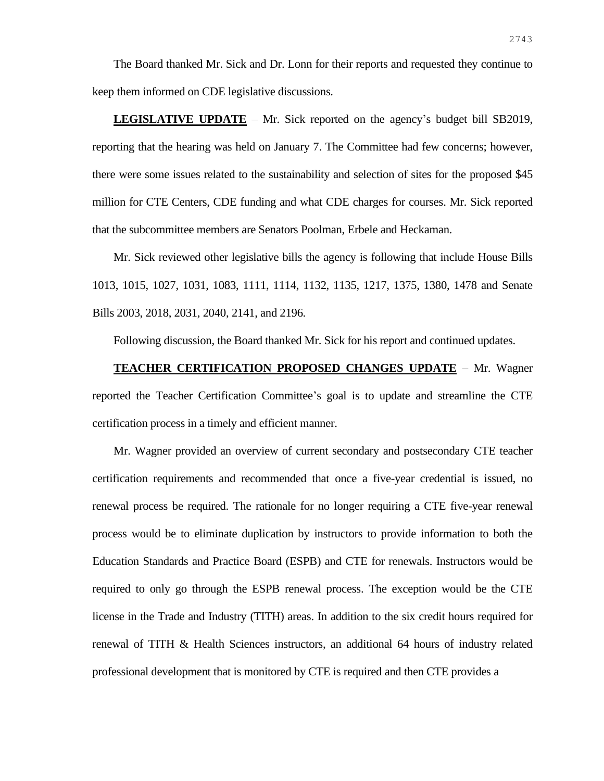The Board thanked Mr. Sick and Dr. Lonn for their reports and requested they continue to keep them informed on CDE legislative discussions.

**LEGISLATIVE UPDATE** – Mr. Sick reported on the agency's budget bill SB2019, reporting that the hearing was held on January 7. The Committee had few concerns; however, there were some issues related to the sustainability and selection of sites for the proposed \$45 million for CTE Centers, CDE funding and what CDE charges for courses. Mr. Sick reported that the subcommittee members are Senators Poolman, Erbele and Heckaman.

Mr. Sick reviewed other legislative bills the agency is following that include House Bills 1013, 1015, 1027, 1031, 1083, 1111, 1114, 1132, 1135, 1217, 1375, 1380, 1478 and Senate Bills 2003, 2018, 2031, 2040, 2141, and 2196.

Following discussion, the Board thanked Mr. Sick for his report and continued updates.

**TEACHER CERTIFICATION PROPOSED CHANGES UPDATE** – Mr. Wagner reported the Teacher Certification Committee's goal is to update and streamline the CTE certification process in a timely and efficient manner.

Mr. Wagner provided an overview of current secondary and postsecondary CTE teacher certification requirements and recommended that once a five-year credential is issued, no renewal process be required. The rationale for no longer requiring a CTE five-year renewal process would be to eliminate duplication by instructors to provide information to both the Education Standards and Practice Board (ESPB) and CTE for renewals. Instructors would be required to only go through the ESPB renewal process. The exception would be the CTE license in the Trade and Industry (TITH) areas. In addition to the six credit hours required for renewal of TITH & Health Sciences instructors, an additional 64 hours of industry related professional development that is monitored by CTE is required and then CTE provides a